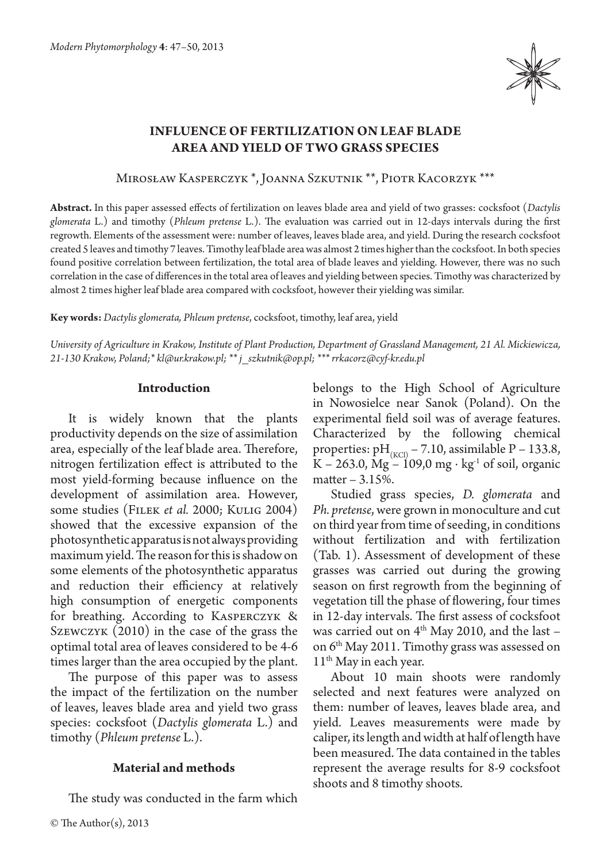

# **Influence of fertilization on leaf blade area and yield of two grass species**

Mirosław Kasperczyk \*, Joanna Szkutnik \*\*, Piotr Kacorzyk \*\*\*

**Abstract.** In this paper assessed effects of fertilization on leaves blade area and yield of two grasses: cocksfoot (*Dactylis glomerata* L.) and timothy (*Phleum pretense* L.). The evaluation was carried out in 12-days intervals during the first regrowth. Elements of the assessment were: number of leaves, leaves blade area, and yield. During the research cocksfoot created 5 leaves and timothy 7 leaves. Timothy leaf blade area was almost 2 times higher than the cocksfoot. In both species found positive correlation between fertilization, the total area of blade leaves and yielding. However, there was no such correlation in the case of differences in the total area of leaves and yielding between species. Timothy was characterized by almost 2 times higher leaf blade area compared with cocksfoot, however their yielding was similar.

**Key words:** *Dactylis glomerata, Phleum pretense*, cocksfoot, timothy, leaf area, yield

*University of Agriculture in Krakow, Institute of Plant Production, Department of Grassland Management, 21 Al. Mickiewicza, 21-130 Krakow, Poland;\* kl@ur.krakow.pl; \*\* j\_szkutnik@op.pl; \*\*\* rrkacorz@cyf-kr.edu.pl*

#### **Introduction**

It is widely known that the plants productivity depends on the size of assimilation area, especially of the leaf blade area. Therefore, nitrogen fertilization effect is attributed to the most yield-forming because influence on the development of assimilation area. However, some studies (Filek *et al.* 2000; Kulig 2004) showed that the excessive expansion of the photosynthetic apparatus is not always providing maximum yield. The reason for this is shadow on some elements of the photosynthetic apparatus and reduction their efficiency at relatively high consumption of energetic components for breathing. According to Kasperczyk & Szewczyk (2010) in the case of the grass the optimal total area of leaves considered to be 4-6 times larger than the area occupied by the plant.

The purpose of this paper was to assess the impact of the fertilization on the number of leaves, leaves blade area and yield two grass species: cocksfoot (*Dactylis glomerata* L.) and timothy (*Phleum pretense* L.).

# **Material and methods**

The study was conducted in the farm which

belongs to the High School of Agriculture in Nowosielce near Sanok (Poland). On the experimental field soil was of average features. Characterized by the following chemical properties:  $pH_{(KCl)}$  – 7.10, assimilable P – 133.8,  $K - 263.0$ ,  $Mg - 109.0$  mg ⋅ kg<sup>-1</sup> of soil, organic matter – 3.15%.

Studied grass species, *D. glomerata* and *Ph. pretense*, were grown in monoculture and cut on third year from time of seeding, in conditions without fertilization and with fertilization (Tab. 1). Assessment of development of these grasses was carried out during the growing season on first regrowth from the beginning of vegetation till the phase of flowering, four times in 12-day intervals. The first assess of cocksfoot was carried out on  $4^{\text{th}}$  May 2010, and the last – on 6th May 2011. Timothy grass was assessed on 11<sup>th</sup> May in each year.

About 10 main shoots were randomly selected and next features were analyzed on them: number of leaves, leaves blade area, and yield. Leaves measurements were made by caliper, its length and width at half of length have been measured. The data contained in the tables represent the average results for 8-9 cocksfoot shoots and 8 timothy shoots.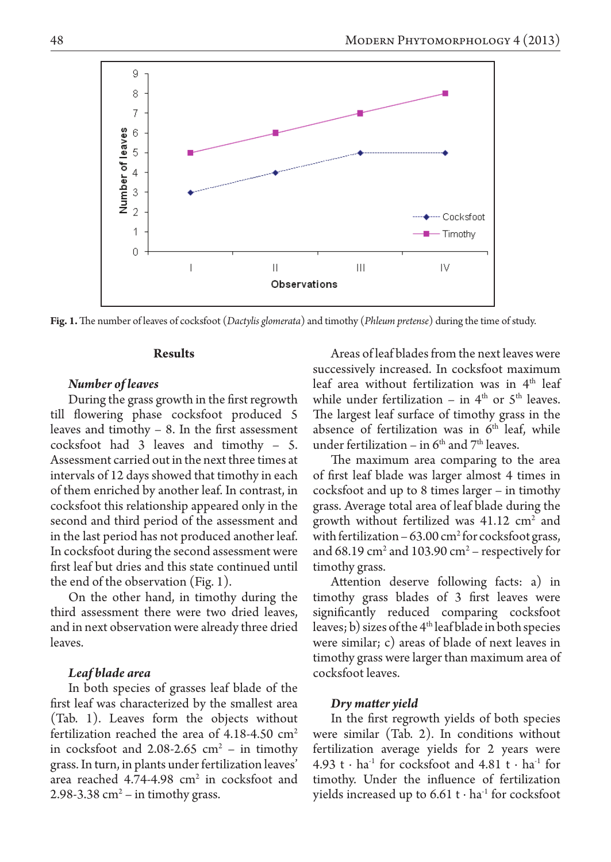

**Fig. 1.** The number of leaves of cocksfoot (*Dactylis glomerata*) and timothy (*Phleum pretense*) during the time of study.

## **Results**

## *Number of leaves*

During the grass growth in the first regrowth till flowering phase cocksfoot produced 5 leaves and timothy – 8. In the first assessment cocksfoot had 3 leaves and timothy – 5. Assessment carried out in the next three times at intervals of 12 days showed that timothy in each of them enriched by another leaf. In contrast, in cocksfoot this relationship appeared only in the second and third period of the assessment and in the last period has not produced another leaf. In cocksfoot during the second assessment were first leaf but dries and this state continued until the end of the observation (Fig. 1).

On the other hand, in timothy during the third assessment there were two dried leaves, and in next observation were already three dried leaves.

## *Leaf blade area*

In both species of grasses leaf blade of the first leaf was characterized by the smallest area (Tab. 1). Leaves form the objects without fertilization reached the area of  $4.18-4.50$  cm<sup>2</sup> in cocksfoot and  $2.08-2.65$  cm<sup>2</sup> – in timothy grass. In turn, in plants under fertilization leaves' area reached  $4.74-4.98$  cm<sup>2</sup> in cocksfoot and 2.98-3.38  $\text{cm}^2$  – in timothy grass.

Areas of leaf blades from the next leaves were successively increased. In cocksfoot maximum leaf area without fertilization was in  $4<sup>th</sup>$  leaf while under fertilization – in  $4<sup>th</sup>$  or  $5<sup>th</sup>$  leaves. The largest leaf surface of timothy grass in the absence of fertilization was in  $6<sup>th</sup>$  leaf, while under fertilization – in  $6<sup>th</sup>$  and  $7<sup>th</sup>$  leaves.

The maximum area comparing to the area of first leaf blade was larger almost 4 times in cocksfoot and up to 8 times larger – in timothy grass. Average total area of leaf blade during the growth without fertilized was  $41.12 \text{ cm}^2$  and with fertilization  $-63.00 \text{ cm}^2$  for cocksfoot grass, and  $68.19 \text{ cm}^2$  and  $103.90 \text{ cm}^2$  – respectively for timothy grass.

Attention deserve following facts: a) in timothy grass blades of 3 first leaves were significantly reduced comparing cocksfoot leaves; b) sizes of the 4th leaf blade in both species were similar; c) areas of blade of next leaves in timothy grass were larger than maximum area of cocksfoot leaves.

## *Dry matter yield*

In the first regrowth yields of both species were similar (Tab. 2). In conditions without fertilization average yields for 2 years were 4.93 t ⋅ ha<sup>-1</sup> for cocksfoot and 4.81 t ⋅ ha<sup>-1</sup> for timothy. Under the influence of fertilization yields increased up to 6.61 t  $\cdot$  ha<sup>1</sup> for cocksfoot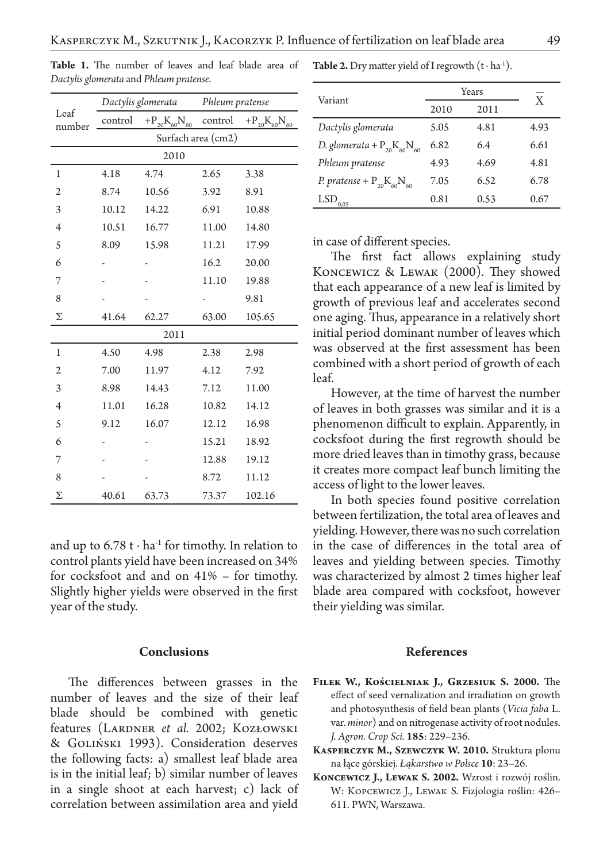| Leaf<br>number | Dactylis glomerata |                       | Phleum pratense |                       |  |
|----------------|--------------------|-----------------------|-----------------|-----------------------|--|
|                | control            | $+P_{20}K_{60}N_{60}$ | control         | $+P_{20}K_{60}N_{60}$ |  |
|                | Surfach area (cm2) |                       |                 |                       |  |
| 2010           |                    |                       |                 |                       |  |
| 1              | 4.18               | 4.74                  | 2.65            | 3.38                  |  |
| $\mathfrak{2}$ | 8.74               | 10.56                 | 3.92            | 8.91                  |  |
| 3              | 10.12              | 14.22                 | 6.91            | 10.88                 |  |
| $\overline{4}$ | 10.51              | 16.77                 | 11.00           | 14.80                 |  |
| 5              | 8.09               | 15.98                 | 11.21           | 17.99                 |  |
| 6              |                    |                       | 16.2            | 20.00                 |  |
| 7              |                    |                       | 11.10           | 19.88                 |  |
| 8              |                    |                       |                 | 9.81                  |  |
| Σ              | 41.64              | 62.27                 | 63.00           | 105.65                |  |
| 2011           |                    |                       |                 |                       |  |
| $\mathbf 1$    | 4.50               | 4.98                  | 2.38            | 2.98                  |  |
| $\mathfrak{2}$ | 7.00               | 11.97                 | 4.12            | 7.92                  |  |
| 3              | 8.98               | 14.43                 | 7.12            | 11.00                 |  |
| $\overline{4}$ | 11.01              | 16.28                 | 10.82           | 14.12                 |  |
| 5              | 9.12               | 16.07                 | 12.12           | 16.98                 |  |
| 6              |                    |                       | 15.21           | 18.92                 |  |
| 7              |                    |                       | 12.88           | 19.12                 |  |
| 8              |                    |                       | 8.72            | 11.12                 |  |
| Σ              | 40.61              | 63.73                 | 73.37           | 102.16                |  |

**Table 1.** The number of leaves and leaf blade area of *Dactylis glomerata* and *Phleum pratense*.

and up to  $6.78$  t ⋅ ha<sup>-1</sup> for timothy. In relation to control plants yield have been increased on 34% for cocksfoot and and on 41% – for timothy. Slightly higher yields were observed in the first year of the study.

#### **Conclusions**

The differences between grasses in the number of leaves and the size of their leaf blade should be combined with genetic features (LARDNER et al. 2002; KOZŁOWSKI & Goliński 1993). Consideration deserves the following facts: a) smallest leaf blade area is in the initial leaf; b) similar number of leaves in a single shoot at each harvest; c) lack of correlation between assimilation area and yield **Table 2.** Dry matter yield of I regrowth  $(t \cdot ha^{-1})$ .

| Variant                             | Years |      | X    |
|-------------------------------------|-------|------|------|
|                                     | 2010  | 2011 |      |
| Dactylis glomerata                  | 5.05  | 4.81 | 4.93 |
| D. glomerata + $P_{20}K_{60}N_{60}$ | 6.82  | 6.4  | 6.61 |
| Phleum pratense                     | 4.93  | 4.69 | 4.81 |
| P. pratense + $P_{20}K_{60}N_{60}$  | 7.05  | 6.52 | 6.78 |
| LSD                                 | 0.81  | 0.53 | 0.67 |

in case of different species.

The first fact allows explaining study Koncewicz & Lewak (2000). They showed that each appearance of a new leaf is limited by growth of previous leaf and accelerates second one aging. Thus, appearance in a relatively short initial period dominant number of leaves which was observed at the first assessment has been combined with a short period of growth of each leaf.

However, at the time of harvest the number of leaves in both grasses was similar and it is a phenomenon difficult to explain. Apparently, in cocksfoot during the first regrowth should be more dried leaves than in timothy grass, because it creates more compact leaf bunch limiting the access of light to the lower leaves.

In both species found positive correlation between fertilization, the total area of leaves and yielding. However, there was no such correlation in the case of differences in the total area of leaves and yielding between species. Timothy was characterized by almost 2 times higher leaf blade area compared with cocksfoot, however their yielding was similar.

#### **References**

- **Filek W., Kościelniak J., Grzesiuk S. 2000.** The effect of seed vernalization and irradiation on growth and photosynthesis of field bean plants (*Vicia faba* L. var. *minor*) and on nitrogenase activity of root nodules. *J. Agron. Crop Sci.* **185**: 229–236.
- **Kasperczyk M., Szewczyk W. 2010.** Struktura plonu na łące górskiej. *Łąkarstwo w Polsce* **10**: 23–26.
- **Koncewicz J., Lewak S. 2002.** Wzrost i rozwój roślin. W: Kopcewicz J., Lewak S. Fizjologia roślin: 426– 611. PWN, Warszawa.